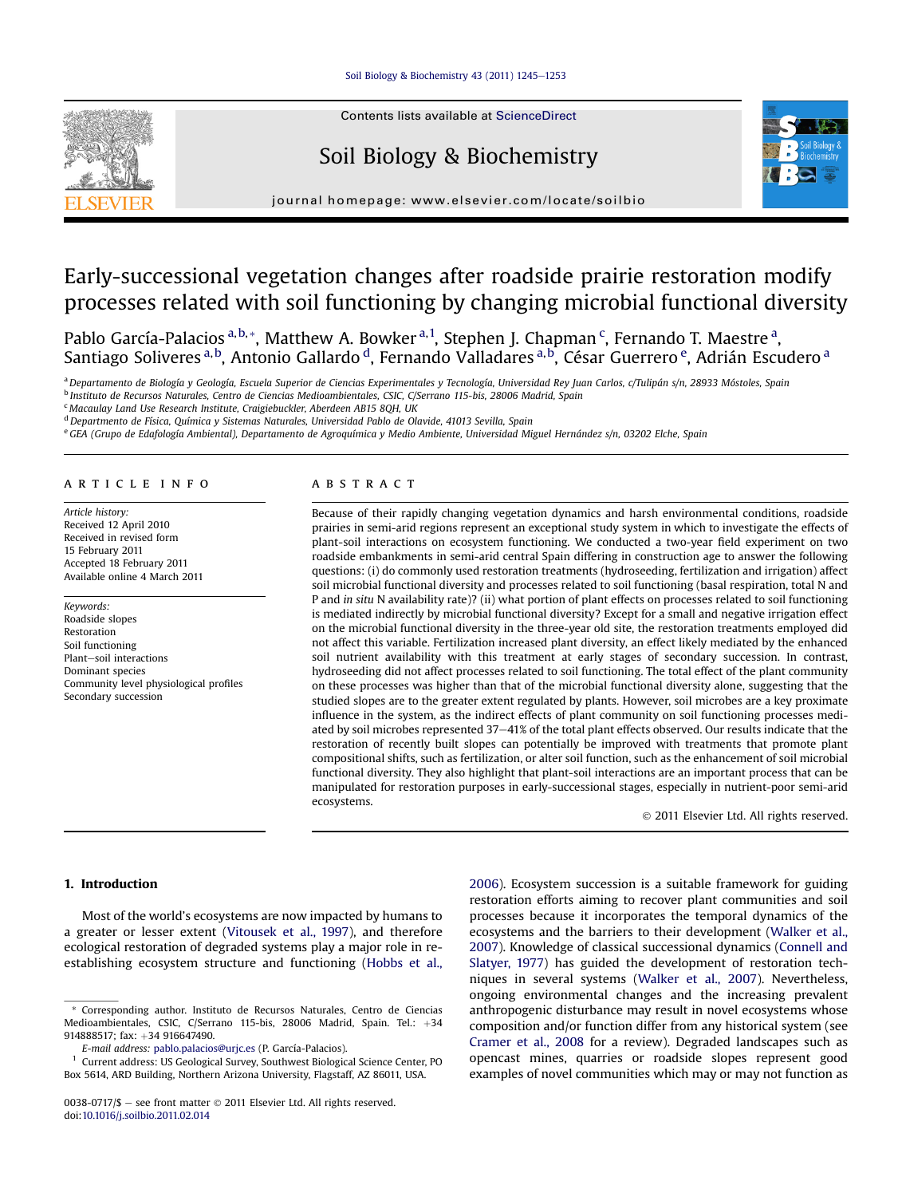#### [Soil Biology & Biochemistry 43 \(2011\) 1245](http://dx.doi.org/10.1016/j.soilbio.2011.02.014)-[1253](http://dx.doi.org/10.1016/j.soilbio.2011.02.014)



Contents lists available at ScienceDirect

## Soil Biology & Biochemistry



journal homepage: [www.elsevier.com/locate/soilbio](http://www.elsevier.com/locate/soilbio)

# Early-successional vegetation changes after roadside prairie restoration modify processes related with soil functioning by changing microbial functional diversity

Pablo García-Palacios <sup>a,b,</sup>\*, Matthew A. Bowker <sup>a, 1</sup>, Stephen J. Chapman <sup>c</sup>, Fernando T. Maestre <sup>a</sup>, Santiago Soliveres <sup>a, b</sup>, Antonio Gallardo <sup>d</sup>, Fernando Valladares <sup>a, b</sup>, César Guerrero <sup>e</sup>, Adrián Escudero <sup>a</sup>

a Departamento de Biología y Geología, Escuela Superior de Ciencias Experimentales y Tecnología, Universidad Rey Juan Carlos, c/Tulipán s/n, 28933 Móstoles, Spain

<sup>b</sup> Instituto de Recursos Naturales, Centro de Ciencias Medioambientales, CSIC, C/Serrano 115-bis, 28006 Madrid, Spain

<sup>c</sup> Macaulay Land Use Research Institute, Craigiebuckler, Aberdeen AB15 8QH, UK

<sup>d</sup> Departmento de Física, Química y Sistemas Naturales, Universidad Pablo de Olavide, 41013 Sevilla, Spain

e GEA (Grupo de Edafología Ambiental), Departamento de Agroquímica y Medio Ambiente, Universidad Miguel Hernández s/n, 03202 Elche, Spain

## article info

Article history: Received 12 April 2010 Received in revised form 15 February 2011 Accepted 18 February 2011 Available online 4 March 2011

Keywords: Roadside slopes Restoration Soil functioning Plant-soil interactions Dominant species Community level physiological profiles Secondary succession

## ABSTRACT

Because of their rapidly changing vegetation dynamics and harsh environmental conditions, roadside prairies in semi-arid regions represent an exceptional study system in which to investigate the effects of plant-soil interactions on ecosystem functioning. We conducted a two-year field experiment on two roadside embankments in semi-arid central Spain differing in construction age to answer the following questions: (i) do commonly used restoration treatments (hydroseeding, fertilization and irrigation) affect soil microbial functional diversity and processes related to soil functioning (basal respiration, total N and P and in situ N availability rate)? (ii) what portion of plant effects on processes related to soil functioning is mediated indirectly by microbial functional diversity? Except for a small and negative irrigation effect on the microbial functional diversity in the three-year old site, the restoration treatments employed did not affect this variable. Fertilization increased plant diversity, an effect likely mediated by the enhanced soil nutrient availability with this treatment at early stages of secondary succession. In contrast, hydroseeding did not affect processes related to soil functioning. The total effect of the plant community on these processes was higher than that of the microbial functional diversity alone, suggesting that the studied slopes are to the greater extent regulated by plants. However, soil microbes are a key proximate influence in the system, as the indirect effects of plant community on soil functioning processes mediated by soil microbes represented 37-41% of the total plant effects observed. Our results indicate that the restoration of recently built slopes can potentially be improved with treatments that promote plant compositional shifts, such as fertilization, or alter soil function, such as the enhancement of soil microbial functional diversity. They also highlight that plant-soil interactions are an important process that can be manipulated for restoration purposes in early-successional stages, especially in nutrient-poor semi-arid ecosystems.

2011 Elsevier Ltd. All rights reserved.

## 1. Introduction

Most of the world's ecosystems are now impacted by humans to a greater or lesser extent ([Vitousek et al., 1997](#page-8-0)), and therefore ecological restoration of degraded systems play a major role in reestablishing ecosystem structure and functioning [\(Hobbs et al.,](#page-7-0)

<sup>1</sup> Current address: US Geological Survey, Southwest Biological Science Center, PO Box 5614, ARD Building, Northern Arizona University, Flagstaff, AZ 86011, USA.

[2006\)](#page-7-0). Ecosystem succession is a suitable framework for guiding restoration efforts aiming to recover plant communities and soil processes because it incorporates the temporal dynamics of the ecosystems and the barriers to their development [\(Walker et al.,](#page-8-0) [2007\)](#page-8-0). Knowledge of classical successional dynamics [\(Connell and](#page-7-0) [Slatyer, 1977\)](#page-7-0) has guided the development of restoration techniques in several systems [\(Walker et al., 2007](#page-8-0)). Nevertheless, ongoing environmental changes and the increasing prevalent anthropogenic disturbance may result in novel ecosystems whose composition and/or function differ from any historical system (see [Cramer et al., 2008](#page-7-0) for a review). Degraded landscapes such as opencast mines, quarries or roadside slopes represent good examples of novel communities which may or may not function as

<sup>\*</sup> Corresponding author. Instituto de Recursos Naturales, Centro de Ciencias Medioambientales, CSIC, C/Serrano 115-bis, 28006 Madrid, Spain. Tel.: +34 914888517; fax: +34 916647490.

E-mail address: [pablo.palacios@urjc.es](mailto:pablo.palacios@urjc.es) (P. García-Palacios).

<sup>0038-0717/\$ -</sup> see front matter  $\odot$  2011 Elsevier Ltd. All rights reserved. doi[:10.1016/j.soilbio.2011.02.014](http://dx.doi.org/10.1016/j.soilbio.2011.02.014)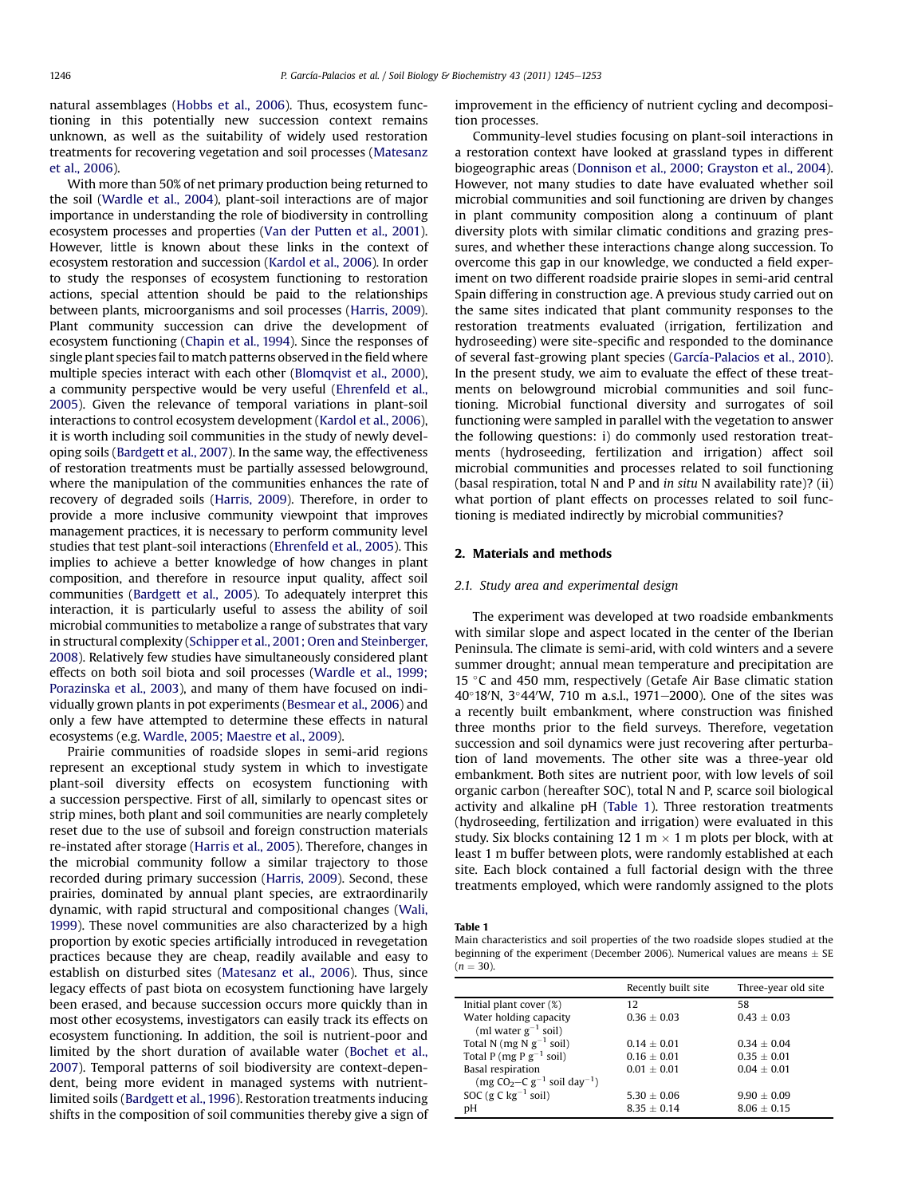natural assemblages [\(Hobbs et al., 2006\)](#page-7-0). Thus, ecosystem functioning in this potentially new succession context remains unknown, as well as the suitability of widely used restoration treatments for recovering vegetation and soil processes ([Matesanz](#page-7-0) [et al., 2006\)](#page-7-0).

With more than 50% of net primary production being returned to the soil ([Wardle et al., 2004\)](#page-8-0), plant-soil interactions are of major importance in understanding the role of biodiversity in controlling ecosystem processes and properties [\(Van der Putten et al., 2001\)](#page-8-0). However, little is known about these links in the context of ecosystem restoration and succession [\(Kardol et al., 2006\)](#page-7-0). In order to study the responses of ecosystem functioning to restoration actions, special attention should be paid to the relationships between plants, microorganisms and soil processes [\(Harris, 2009\)](#page-7-0). Plant community succession can drive the development of ecosystem functioning ([Chapin et al., 1994](#page-7-0)). Since the responses of single plant species fail to match patterns observed in the field where multiple species interact with each other ([Blomqvist et al., 2000\)](#page-7-0), a community perspective would be very useful ([Ehrenfeld et al.,](#page-7-0) [2005\)](#page-7-0). Given the relevance of temporal variations in plant-soil interactions to control ecosystem development [\(Kardol et al., 2006\)](#page-7-0), it is worth including soil communities in the study of newly developing soils [\(Bardgett et al., 2007](#page-7-0)). In the same way, the effectiveness of restoration treatments must be partially assessed belowground, where the manipulation of the communities enhances the rate of recovery of degraded soils ([Harris, 2009](#page-7-0)). Therefore, in order to provide a more inclusive community viewpoint that improves management practices, it is necessary to perform community level studies that test plant-soil interactions ([Ehrenfeld et al., 2005](#page-7-0)). This implies to achieve a better knowledge of how changes in plant composition, and therefore in resource input quality, affect soil communities [\(Bardgett et al., 2005\)](#page-7-0). To adequately interpret this interaction, it is particularly useful to assess the ability of soil microbial communities to metabolize a range of substrates that vary in structural complexity ([Schipper et al., 2001; Oren and Steinberger,](#page-8-0) [2008\)](#page-8-0). Relatively few studies have simultaneously considered plant effects on both soil biota and soil processes [\(Wardle et al., 1999;](#page-8-0) [Porazinska et al., 2003\)](#page-8-0), and many of them have focused on individually grown plants in pot experiments [\(Besmear et al., 2006\)](#page-7-0) and only a few have attempted to determine these effects in natural ecosystems (e.g. [Wardle, 2005; Maestre et al., 2009\)](#page-8-0).

Prairie communities of roadside slopes in semi-arid regions represent an exceptional study system in which to investigate plant-soil diversity effects on ecosystem functioning with a succession perspective. First of all, similarly to opencast sites or strip mines, both plant and soil communities are nearly completely reset due to the use of subsoil and foreign construction materials re-instated after storage [\(Harris et al., 2005\)](#page-7-0). Therefore, changes in the microbial community follow a similar trajectory to those recorded during primary succession ([Harris, 2009\)](#page-7-0). Second, these prairies, dominated by annual plant species, are extraordinarily dynamic, with rapid structural and compositional changes ([Wali,](#page-8-0) [1999](#page-8-0)). These novel communities are also characterized by a high proportion by exotic species artificially introduced in revegetation practices because they are cheap, readily available and easy to establish on disturbed sites [\(Matesanz et al., 2006](#page-7-0)). Thus, since legacy effects of past biota on ecosystem functioning have largely been erased, and because succession occurs more quickly than in most other ecosystems, investigators can easily track its effects on ecosystem functioning. In addition, the soil is nutrient-poor and limited by the short duration of available water ([Bochet et al.,](#page-7-0) [2007\)](#page-7-0). Temporal patterns of soil biodiversity are context-dependent, being more evident in managed systems with nutrientlimited soils [\(Bardgett et al., 1996](#page-7-0)). Restoration treatments inducing shifts in the composition of soil communities thereby give a sign of improvement in the efficiency of nutrient cycling and decomposition processes.

Community-level studies focusing on plant-soil interactions in a restoration context have looked at grassland types in different biogeographic areas ([Donnison et al., 2000; Grayston et al., 2004\)](#page-7-0). However, not many studies to date have evaluated whether soil microbial communities and soil functioning are driven by changes in plant community composition along a continuum of plant diversity plots with similar climatic conditions and grazing pressures, and whether these interactions change along succession. To overcome this gap in our knowledge, we conducted a field experiment on two different roadside prairie slopes in semi-arid central Spain differing in construction age. A previous study carried out on the same sites indicated that plant community responses to the restoration treatments evaluated (irrigation, fertilization and hydroseeding) were site-specific and responded to the dominance of several fast-growing plant species ([García-Palacios et al., 2010\)](#page-7-0). In the present study, we aim to evaluate the effect of these treatments on belowground microbial communities and soil functioning. Microbial functional diversity and surrogates of soil functioning were sampled in parallel with the vegetation to answer the following questions: i) do commonly used restoration treatments (hydroseeding, fertilization and irrigation) affect soil microbial communities and processes related to soil functioning (basal respiration, total N and P and in situ N availability rate)? (ii) what portion of plant effects on processes related to soil functioning is mediated indirectly by microbial communities?

#### 2. Materials and methods

#### 2.1. Study area and experimental design

The experiment was developed at two roadside embankments with similar slope and aspect located in the center of the Iberian Peninsula. The climate is semi-arid, with cold winters and a severe summer drought; annual mean temperature and precipitation are 15 °C and 450 mm, respectively (Getafe Air Base climatic station 40°18'N, 3°44'W, 710 m a.s.l., 1971–2000). One of the sites was a recently built embankment, where construction was finished three months prior to the field surveys. Therefore, vegetation succession and soil dynamics were just recovering after perturbation of land movements. The other site was a three-year old embankment. Both sites are nutrient poor, with low levels of soil organic carbon (hereafter SOC), total N and P, scarce soil biological activity and alkaline pH (Table 1). Three restoration treatments (hydroseeding, fertilization and irrigation) were evaluated in this study. Six blocks containing 12 1 m  $\times$  1 m plots per block, with at least 1 m buffer between plots, were randomly established at each site. Each block contained a full factorial design with the three treatments employed, which were randomly assigned to the plots

Table 1

Main characteristics and soil properties of the two roadside slopes studied at the beginning of the experiment (December 2006). Numerical values are means  $\pm$  SE  $(n = 30)$ .

|                                                               | Recently built site | Three-year old site |
|---------------------------------------------------------------|---------------------|---------------------|
| Initial plant cover $(\%)$                                    | 12                  | 58                  |
| Water holding capacity<br>(ml water $g^{-1}$ soil)            | $0.36 \pm 0.03$     | $0.43 \pm 0.03$     |
| Total N (mg N $g^{-1}$ soil)                                  | $0.14 + 0.01$       | $0.34 + 0.04$       |
| Total P (mg P $g^{-1}$ soil)                                  | $0.16 + 0.01$       | $0.35 + 0.01$       |
| Basal respiration<br>$(mg CO2-C g-1$ soil day <sup>-1</sup> ) | $0.01 + 0.01$       | $0.04 + 0.01$       |
| SOC (g C $kg^{-1}$ soil)                                      | $5.30 \pm 0.06$     | $9.90 + 0.09$       |
| рH                                                            | $8.35 + 0.14$       | $8.06 + 0.15$       |
|                                                               |                     |                     |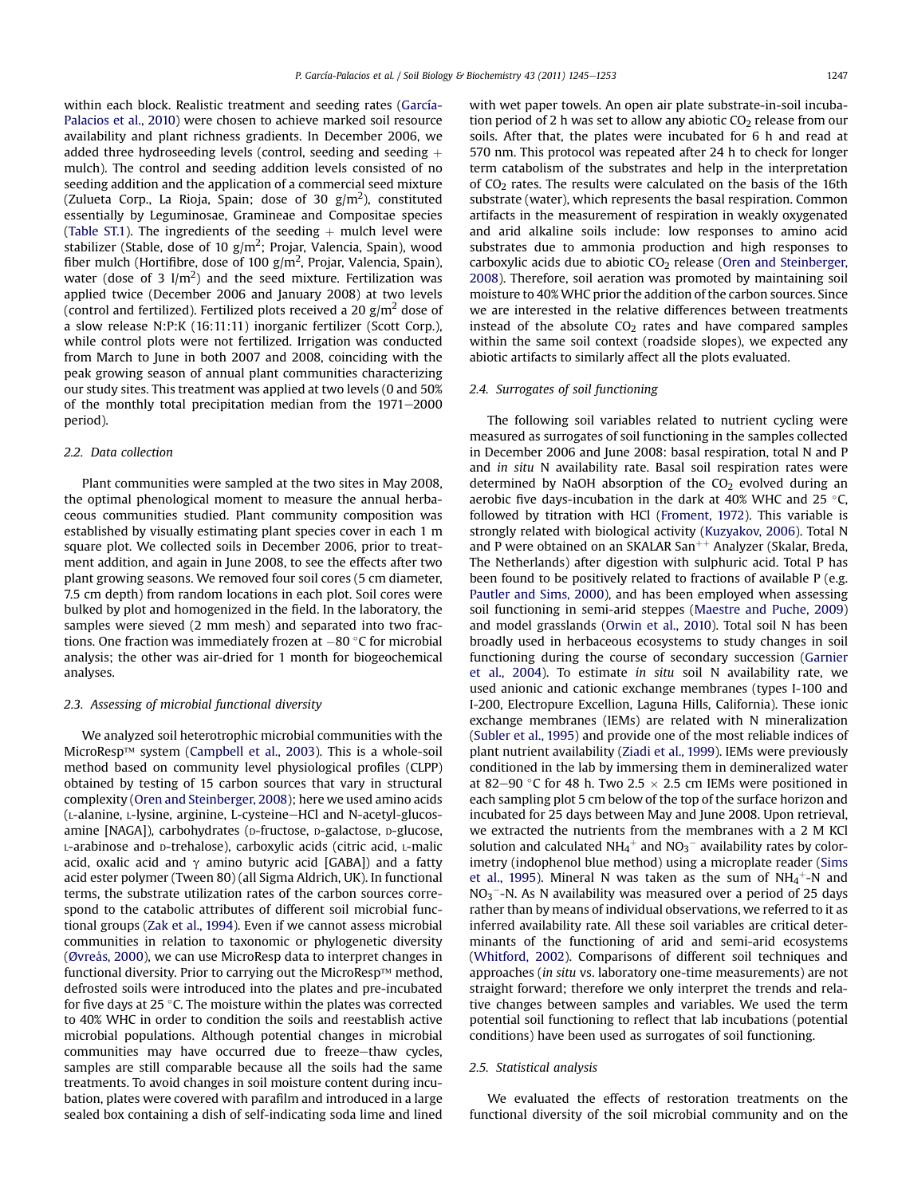within each block. Realistic treatment and seeding rates [\(García-](#page-7-0)[Palacios et al., 2010](#page-7-0)) were chosen to achieve marked soil resource availability and plant richness gradients. In December 2006, we added three hydroseeding levels (control, seeding and seeding  $+$ mulch). The control and seeding addition levels consisted of no seeding addition and the application of a commercial seed mixture (Zulueta Corp., La Rioja, Spain; dose of 30  $g/m^2$ ), constituted essentially by Leguminosae, Gramineae and Compositae species (Table ST.1). The ingredients of the seeding  $+$  mulch level were stabilizer (Stable, dose of 10 g/m<sup>2</sup>; Projar, Valencia, Spain), wood fiber mulch (Hortifibre, dose of 100 g/m<sup>2</sup>, Projar, Valencia, Spain), water (dose of 3  $1/m^2$ ) and the seed mixture. Fertilization was applied twice (December 2006 and January 2008) at two levels (control and fertilized). Fertilized plots received a 20  $g/m<sup>2</sup>$  dose of a slow release N:P:K (16:11:11) inorganic fertilizer (Scott Corp.), while control plots were not fertilized. Irrigation was conducted from March to June in both 2007 and 2008, coinciding with the peak growing season of annual plant communities characterizing our study sites. This treatment was applied at two levels (0 and 50% of the monthly total precipitation median from the  $1971-2000$ period).

## 2.2. Data collection

Plant communities were sampled at the two sites in May 2008, the optimal phenological moment to measure the annual herbaceous communities studied. Plant community composition was established by visually estimating plant species cover in each 1 m square plot. We collected soils in December 2006, prior to treatment addition, and again in June 2008, to see the effects after two plant growing seasons. We removed four soil cores (5 cm diameter, 7.5 cm depth) from random locations in each plot. Soil cores were bulked by plot and homogenized in the field. In the laboratory, the samples were sieved (2 mm mesh) and separated into two fractions. One fraction was immediately frozen at  $-80$  °C for microbial analysis; the other was air-dried for 1 month for biogeochemical analyses.

## 2.3. Assessing of microbial functional diversity

We analyzed soil heterotrophic microbial communities with the MicroResp™ system ([Campbell et al., 2003](#page-7-0)). This is a whole-soil method based on community level physiological profiles (CLPP) obtained by testing of 15 carbon sources that vary in structural complexity [\(Oren and Steinberger, 2008\)](#page-7-0); here we used amino acids (L-alanine, L-lysine, arginine, L-cysteine-HCl and N-acetyl-glucosamine [NAGA]), carbohydrates (D-fructose, D-galactose, D-glucose, L-arabinose and D-trehalose), carboxylic acids (citric acid, L-malic acid, oxalic acid and  $\gamma$  amino butyric acid [GABA]) and a fatty acid ester polymer (Tween 80) (all Sigma Aldrich, UK). In functional terms, the substrate utilization rates of the carbon sources correspond to the catabolic attributes of different soil microbial functional groups [\(Zak et al., 1994\)](#page-8-0). Even if we cannot assess microbial communities in relation to taxonomic or phylogenetic diversity ([Øvreås, 2000](#page-7-0)), we can use MicroResp data to interpret changes in functional diversity. Prior to carrying out the MicroResp<sup> $m$ </sup> method, defrosted soils were introduced into the plates and pre-incubated for five days at 25  $\degree$ C. The moisture within the plates was corrected to 40% WHC in order to condition the soils and reestablish active microbial populations. Although potential changes in microbial communities may have occurred due to freeze-thaw cycles, samples are still comparable because all the soils had the same treatments. To avoid changes in soil moisture content during incubation, plates were covered with parafilm and introduced in a large sealed box containing a dish of self-indicating soda lime and lined with wet paper towels. An open air plate substrate-in-soil incubation period of 2 h was set to allow any abiotic  $CO<sub>2</sub>$  release from our soils. After that, the plates were incubated for 6 h and read at 570 nm. This protocol was repeated after 24 h to check for longer term catabolism of the substrates and help in the interpretation of CO<sub>2</sub> rates. The results were calculated on the basis of the 16th substrate (water), which represents the basal respiration. Common artifacts in the measurement of respiration in weakly oxygenated and arid alkaline soils include: low responses to amino acid substrates due to ammonia production and high responses to carboxylic acids due to abiotic  $CO<sub>2</sub>$  release ([Oren and Steinberger,](#page-7-0) [2008\)](#page-7-0). Therefore, soil aeration was promoted by maintaining soil moisture to 40% WHC prior the addition of the carbon sources. Since we are interested in the relative differences between treatments instead of the absolute  $CO<sub>2</sub>$  rates and have compared samples within the same soil context (roadside slopes), we expected any abiotic artifacts to similarly affect all the plots evaluated.

## 2.4. Surrogates of soil functioning

The following soil variables related to nutrient cycling were measured as surrogates of soil functioning in the samples collected in December 2006 and June 2008: basal respiration, total N and P and in situ N availability rate. Basal soil respiration rates were determined by NaOH absorption of the  $CO<sub>2</sub>$  evolved during an aerobic five days-incubation in the dark at 40% WHC and 25  $\,^{\circ}$ C, followed by titration with HCl ([Froment, 1972\)](#page-7-0). This variable is strongly related with biological activity ([Kuzyakov, 2006\)](#page-7-0). Total N and P were obtained on an SKALAR San<sup>++</sup> Analyzer (Skalar, Breda, The Netherlands) after digestion with sulphuric acid. Total P has been found to be positively related to fractions of available P (e.g. [Pautler and Sims, 2000\)](#page-8-0), and has been employed when assessing soil functioning in semi-arid steppes ([Maestre and Puche, 2009\)](#page-7-0) and model grasslands [\(Orwin et al., 2010\)](#page-7-0). Total soil N has been broadly used in herbaceous ecosystems to study changes in soil functioning during the course of secondary succession [\(Garnier](#page-7-0) [et al., 2004](#page-7-0)). To estimate in situ soil N availability rate, we used anionic and cationic exchange membranes (types I-100 and I-200, Electropure Excellion, Laguna Hills, California). These ionic exchange membranes (IEMs) are related with N mineralization ([Subler et al., 1995](#page-8-0)) and provide one of the most reliable indices of plant nutrient availability [\(Ziadi et al., 1999](#page-8-0)). IEMs were previously conditioned in the lab by immersing them in demineralized water at 82–90 °C for 48 h. Two 2.5  $\times$  2.5 cm IEMs were positioned in each sampling plot 5 cm below of the top of the surface horizon and incubated for 25 days between May and June 2008. Upon retrieval, we extracted the nutrients from the membranes with a 2 M KCl solution and calculated NH<sub>4</sub><sup>+</sup> and NO<sub>3</sub><sup>-</sup> availability rates by colorimetry (indophenol blue method) using a microplate reader ([Sims](#page-8-0) [et al., 1995\)](#page-8-0). Mineral N was taken as the sum of  $NH_4^+$ -N and  $NO<sub>3</sub>$  –N. As N availability was measured over a period of 25 days rather than by means of individual observations, we referred to it as inferred availability rate. All these soil variables are critical determinants of the functioning of arid and semi-arid ecosystems ([Whitford, 2002\)](#page-8-0). Comparisons of different soil techniques and approaches (in situ vs. laboratory one-time measurements) are not straight forward; therefore we only interpret the trends and relative changes between samples and variables. We used the term potential soil functioning to reflect that lab incubations (potential conditions) have been used as surrogates of soil functioning.

## 2.5. Statistical analysis

We evaluated the effects of restoration treatments on the functional diversity of the soil microbial community and on the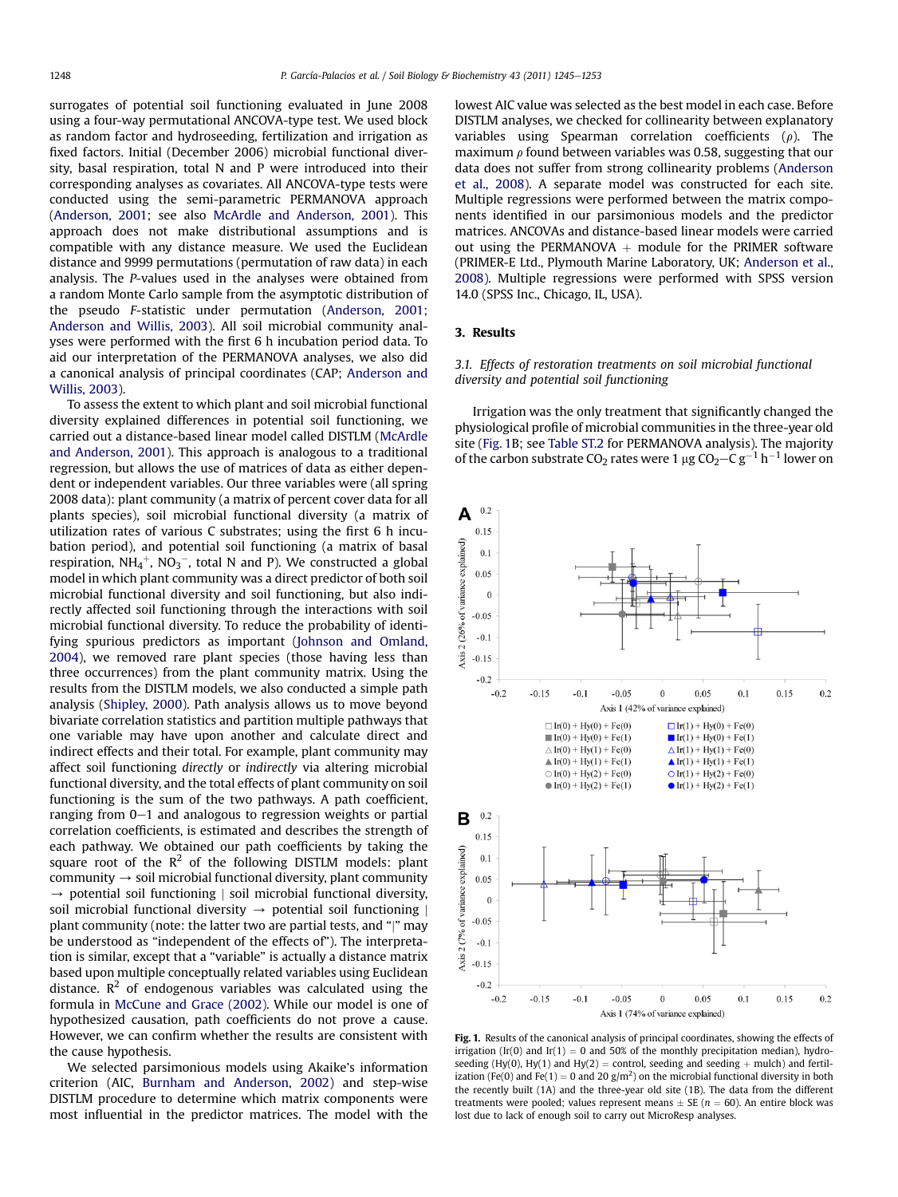<span id="page-3-0"></span>surrogates of potential soil functioning evaluated in June 2008 using a four-way permutational ANCOVA-type test. We used block as random factor and hydroseeding, fertilization and irrigation as fixed factors. Initial (December 2006) microbial functional diversity, basal respiration, total N and P were introduced into their corresponding analyses as covariates. All ANCOVA-type tests were conducted using the semi-parametric PERMANOVA approach ([Anderson, 2001;](#page-7-0) see also [McArdle and Anderson, 2001\)](#page-7-0). This approach does not make distributional assumptions and is compatible with any distance measure. We used the Euclidean distance and 9999 permutations (permutation of raw data) in each analysis. The P-values used in the analyses were obtained from a random Monte Carlo sample from the asymptotic distribution of the pseudo F-statistic under permutation ([Anderson, 2001;](#page-7-0) [Anderson and Willis, 2003\)](#page-7-0). All soil microbial community analyses were performed with the first 6 h incubation period data. To aid our interpretation of the PERMANOVA analyses, we also did a canonical analysis of principal coordinates (CAP; [Anderson and](#page-7-0) [Willis, 2003](#page-7-0)).

To assess the extent to which plant and soil microbial functional diversity explained differences in potential soil functioning, we carried out a distance-based linear model called DISTLM ([McArdle](#page-7-0) [and Anderson, 2001](#page-7-0)). This approach is analogous to a traditional regression, but allows the use of matrices of data as either dependent or independent variables. Our three variables were (all spring 2008 data): plant community (a matrix of percent cover data for all plants species), soil microbial functional diversity (a matrix of utilization rates of various C substrates; using the first 6 h incubation period), and potential soil functioning (a matrix of basal respiration, NH4 $^+$ , NO3 $^-$ , total N and P). We constructed a global model in which plant community was a direct predictor of both soil microbial functional diversity and soil functioning, but also indirectly affected soil functioning through the interactions with soil microbial functional diversity. To reduce the probability of identifying spurious predictors as important [\(Johnson and Omland,](#page-7-0) [2004](#page-7-0)), we removed rare plant species (those having less than three occurrences) from the plant community matrix. Using the results from the DISTLM models, we also conducted a simple path analysis ([Shipley, 2000\)](#page-8-0). Path analysis allows us to move beyond bivariate correlation statistics and partition multiple pathways that one variable may have upon another and calculate direct and indirect effects and their total. For example, plant community may affect soil functioning directly or indirectly via altering microbial functional diversity, and the total effects of plant community on soil functioning is the sum of the two pathways. A path coefficient, ranging from  $0-1$  and analogous to regression weights or partial correlation coefficients, is estimated and describes the strength of each pathway. We obtained our path coefficients by taking the square root of the  $R^2$  of the following DISTLM models: plant community  $\rightarrow$  soil microbial functional diversity, plant community  $\rightarrow$  potential soil functioning | soil microbial functional diversity, soil microbial functional diversity  $\rightarrow$  potential soil functioning  $|$ plant community (note: the latter two are partial tests, and "j" may be understood as "independent of the effects of"). The interpretation is similar, except that a "variable" is actually a distance matrix based upon multiple conceptually related variables using Euclidean distance.  $\mathbb{R}^2$  of endogenous variables was calculated using the formula in [McCune and Grace \(2002\).](#page-7-0) While our model is one of hypothesized causation, path coefficients do not prove a cause. However, we can confirm whether the results are consistent with the cause hypothesis.

We selected parsimonious models using Akaike's information criterion (AIC, [Burnham and Anderson, 2002\)](#page-7-0) and step-wise DISTLM procedure to determine which matrix components were most influential in the predictor matrices. The model with the lowest AIC value was selected as the best model in each case. Before DISTLM analyses, we checked for collinearity between explanatory variables using Spearman correlation coefficients  $(\rho)$ . The maximum  $\rho$  found between variables was 0.58, suggesting that our data does not suffer from strong collinearity problems ([Anderson](#page-7-0) [et al., 2008\)](#page-7-0). A separate model was constructed for each site. Multiple regressions were performed between the matrix components identified in our parsimonious models and the predictor matrices. ANCOVAs and distance-based linear models were carried out using the PERMANOVA  $+$  module for the PRIMER software (PRIMER-E Ltd., Plymouth Marine Laboratory, UK; [Anderson et al.,](#page-7-0) [2008](#page-7-0)). Multiple regressions were performed with SPSS version 14.0 (SPSS Inc., Chicago, IL, USA).

## 3. Results

## 3.1. Effects of restoration treatments on soil microbial functional diversity and potential soil functioning

Irrigation was the only treatment that significantly changed the physiological profile of microbial communities in the three-year old site (Fig. 1B; see Table ST.2 for PERMANOVA analysis). The majority of the carbon substrate CO<sub>2</sub> rates were 1 µg CO<sub>2</sub>-C g<sup>-1</sup> h<sup>-1</sup> lower on



Fig. 1. Results of the canonical analysis of principal coordinates, showing the effects of irrigation (Ir(0) and Ir(1) = 0 and 50% of the monthly precipitation median), hydroseeding (Hy(0), Hy(1) and Hy(2) = control, seeding and seeding  $+$  mulch) and fertilization (Fe(0) and Fe(1) = 0 and 20  $g/m<sup>2</sup>$ ) on the microbial functional diversity in both the recently built (1A) and the three-year old site (1B). The data from the different treatments were pooled; values represent means  $\pm$  SE ( $n = 60$ ). An entire block was lost due to lack of enough soil to carry out MicroResp analyses.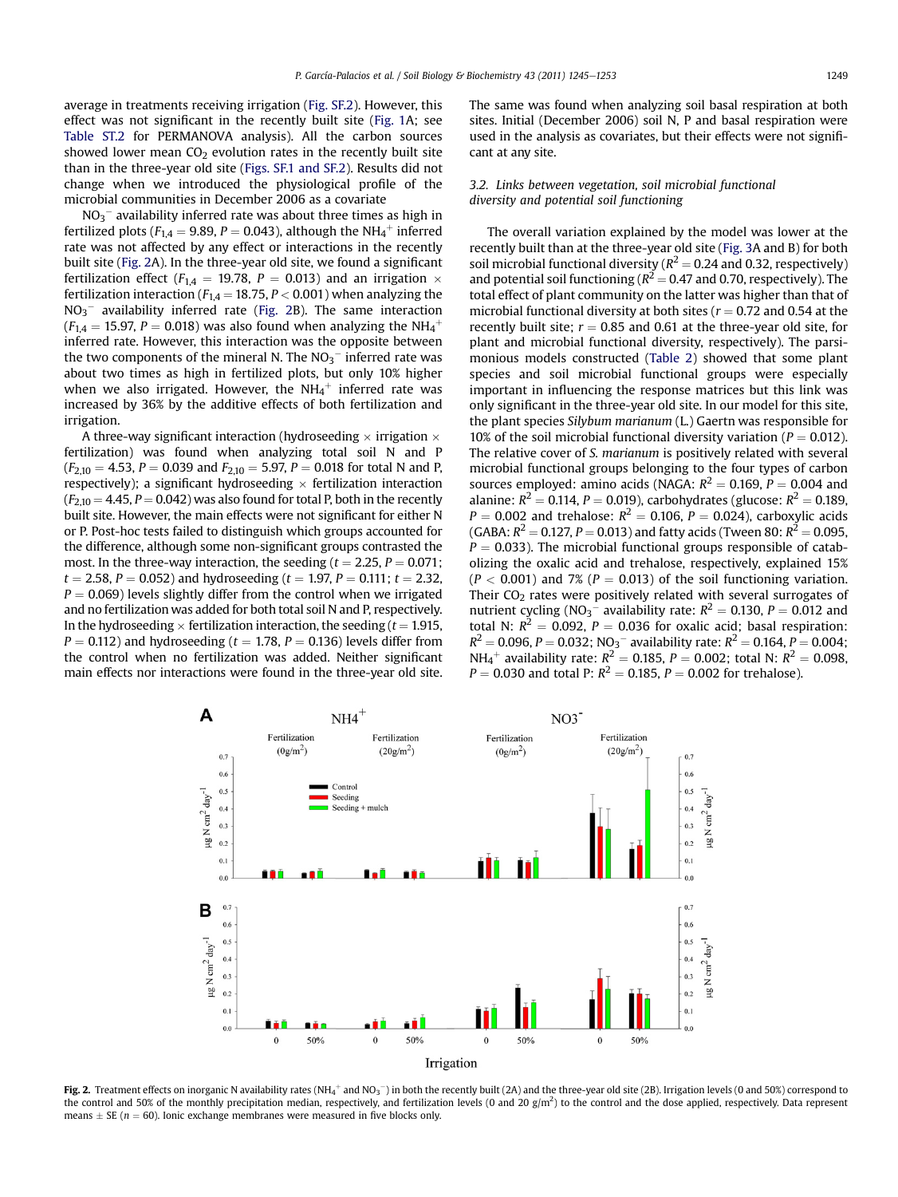<span id="page-4-0"></span>average in treatments receiving irrigation (Fig. SF.2). However, this effect was not significant in the recently built site [\(Fig. 1](#page-3-0)A; see Table ST.2 for PERMANOVA analysis). All the carbon sources showed lower mean  $CO<sub>2</sub>$  evolution rates in the recently built site than in the three-year old site (Figs. SF.1 and SF.2). Results did not change when we introduced the physiological profile of the microbial communities in December 2006 as a covariate

 $\rm NO_3^-$  availability inferred rate was about three times as high in fertilized plots ( $F_{1,4} = 9.89$ ,  $P = 0.043$ ), although the NH<sub>4</sub><sup>+</sup> inferred rate was not affected by any effect or interactions in the recently built site (Fig. 2A). In the three-year old site, we found a significant fertilization effect ( $F_{1,4} = 19.78$ ,  $P = 0.013$ ) and an irrigation  $\times$ fertilization interaction ( $F_{1,4}$  = 18.75, P < 0.001) when analyzing the  $NO<sub>3</sub>$ <sup>-</sup> availability inferred rate (Fig. 2B). The same interaction  $(F_{1,4} = 15.97, P = 0.018)$  was also found when analyzing the NH<sub>4</sub><sup>+</sup> inferred rate. However, this interaction was the opposite between the two components of the mineral N. The NO<sub>3</sub>  $^-$  inferred rate was about two times as high in fertilized plots, but only 10% higher when we also irrigated. However, the NH $_4^+$  inferred rate was increased by 36% by the additive effects of both fertilization and irrigation.

A three-way significant interaction (hydroseeding  $\times$  irrigation  $\times$ fertilization) was found when analyzing total soil N and P  $(F_{2,10} = 4.53, P = 0.039$  and  $F_{2,10} = 5.97, P = 0.018$  for total N and P, respectively); a significant hydroseeding  $\times$  fertilization interaction  $(F_{2,10} = 4.45, P = 0.042)$  was also found for total P, both in the recently built site. However, the main effects were not significant for either N or P. Post-hoc tests failed to distinguish which groups accounted for the difference, although some non-significant groups contrasted the most. In the three-way interaction, the seeding ( $t = 2.25$ ,  $P = 0.071$ ;  $t = 2.58$ ,  $P = 0.052$ ) and hydroseeding ( $t = 1.97$ ,  $P = 0.111$ ;  $t = 2.32$ ,  $P = 0.069$ ) levels slightly differ from the control when we irrigated and no fertilization was added for both total soil N and P, respectively. In the hydroseeding  $\times$  fertilization interaction, the seeding (t = 1.915,  $P = 0.112$ ) and hydroseeding ( $t = 1.78$ ,  $P = 0.136$ ) levels differ from the control when no fertilization was added. Neither significant main effects nor interactions were found in the three-year old site. The same was found when analyzing soil basal respiration at both sites. Initial (December 2006) soil N, P and basal respiration were used in the analysis as covariates, but their effects were not significant at any site.

## 3.2. Links between vegetation, soil microbial functional diversity and potential soil functioning

The overall variation explained by the model was lower at the recently built than at the three-year old site ([Fig. 3](#page-5-0)A and B) for both soil microbial functional diversity ( $R^2 = 0.24$  and 0.32, respectively) and potential soil functioning ( $R^2 = 0.47$  and 0.70, respectively). The total effect of plant community on the latter was higher than that of microbial functional diversity at both sites ( $r = 0.72$  and 0.54 at the recently built site;  $r = 0.85$  and 0.61 at the three-year old site, for plant and microbial functional diversity, respectively). The parsimonious models constructed [\(Table 2\)](#page-5-0) showed that some plant species and soil microbial functional groups were especially important in influencing the response matrices but this link was only significant in the three-year old site. In our model for this site, the plant species Silybum marianum (L.) Gaertn was responsible for 10% of the soil microbial functional diversity variation ( $P = 0.012$ ). The relative cover of S. marianum is positively related with several microbial functional groups belonging to the four types of carbon sources employed: amino acids (NAGA:  $R^2 = 0.169$ ,  $P = 0.004$  and alanine:  $R^2 = 0.114$ ,  $P = 0.019$ ), carbohydrates (glucose:  $R^2 = 0.189$ ,  $P = 0.002$  and trehalose:  $R^2 = 0.106$ ,  $P = 0.024$ ), carboxylic acids (GABA:  $R^2 = 0.127$ ,  $P = 0.013$ ) and fatty acids (Tween 80:  $R^2 = 0.095$ ,  $P = 0.033$ ). The microbial functional groups responsible of catabolizing the oxalic acid and trehalose, respectively, explained 15%  $(P < 0.001)$  and 7% ( $P = 0.013$ ) of the soil functioning variation. Their  $CO<sub>2</sub>$  rates were positively related with several surrogates of nutrient cycling (NO<sub>3</sub><sup>-</sup> availability rate:  $R^2 = 0.130$ ,  $P = 0.012$  and total N:  $R^2 = 0.092$ ,  $P = 0.036$  for oxalic acid; basal respiration:  $R^2 = 0.096$ ,  $P = 0.032$ ; NO<sub>3</sub><sup>-</sup> availability rate:  $R^2 = 0.164$ ,  $P = 0.004$ ; NH<sub>4</sub><sup>+</sup> availability rate:  $R^2 = 0.185$ ,  $P = 0.002$ ; total N:  $R^2 = 0.098$ ,  $P = 0.030$  and total P:  $R^2 = 0.185$ ,  $P = 0.002$  for trehalose).



**Fig. 2.** Treatment effects on inorganic N availability rates (NH4+ and NO3-) in both the recently built (2A) and the three-year old site (2B). Irrigation levels (0 and 50%) correspond to the control and 50% of the monthly precipitation median, respectively, and fertilization levels (0 and 20 g/m<sup>2</sup>) to the control and the dose applied, respectively. Data represent means  $\pm$  SE ( $n = 60$ ). Ionic exchange membranes were measured in five blocks only.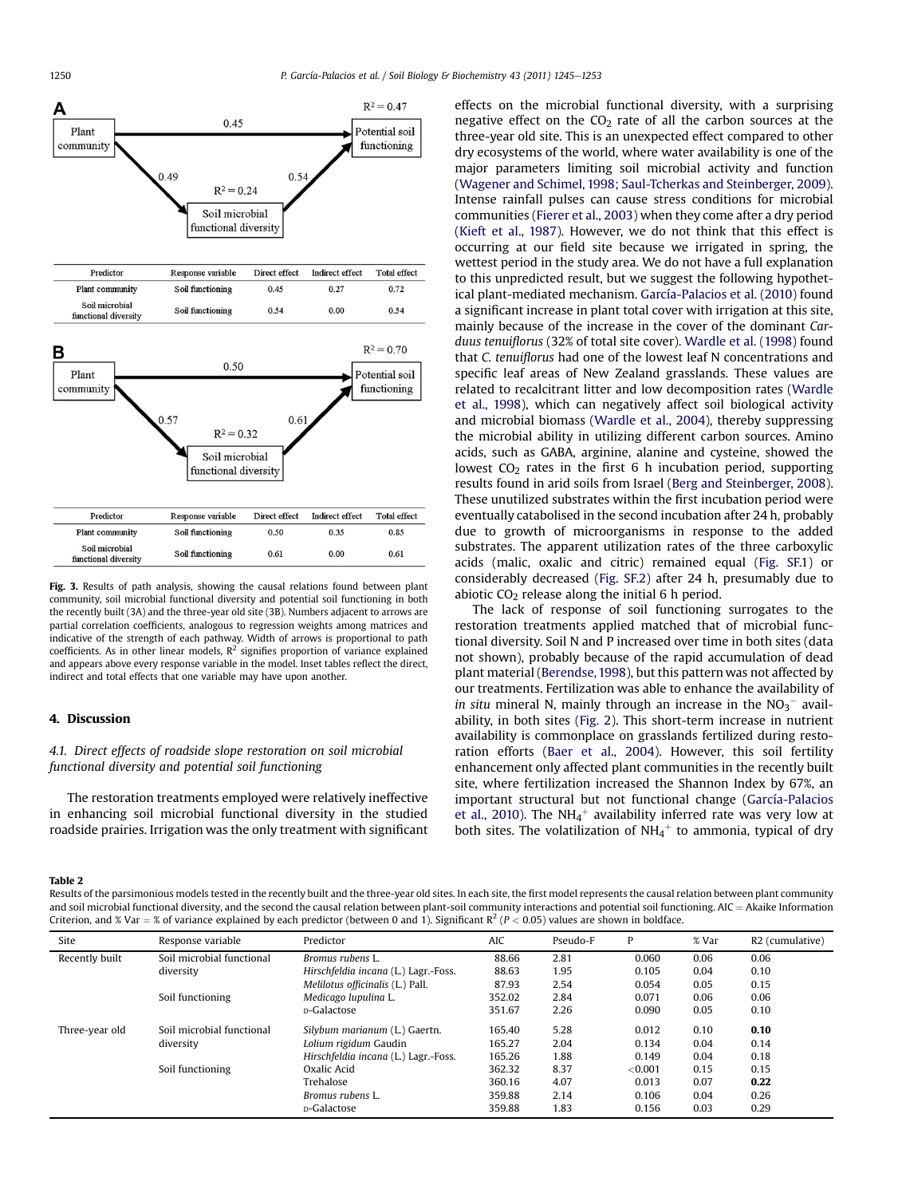<span id="page-5-0"></span>

Fig. 3. Results of path analysis, showing the causal relations found between plant community, soil microbial functional diversity and potential soil functioning in both the recently built (3A) and the three-year old site (3B). Numbers adjacent to arrows are partial correlation coefficients, analogous to regression weights among matrices and indicative of the strength of each pathway. Width of arrows is proportional to path coefficients. As in other linear models,  $R^2$  signifies proportion of variance explained and appears above every response variable in the model. Inset tables reflect the direct, indirect and total effects that one variable may have upon another.

## 4. Discussion

## 4.1. Direct effects of roadside slope restoration on soil microbial functional diversity and potential soil functioning

The restoration treatments employed were relatively ineffective in enhancing soil microbial functional diversity in the studied roadside prairies. Irrigation was the only treatment with significant effects on the microbial functional diversity, with a surprising negative effect on the  $CO<sub>2</sub>$  rate of all the carbon sources at the three-year old site. This is an unexpected effect compared to other dry ecosystems of the world, where water availability is one of the major parameters limiting soil microbial activity and function ([Wagener and Schimel, 1998; Saul-Tcherkas and Steinberger, 2009\)](#page-8-0). Intense rainfall pulses can cause stress conditions for microbial communities ([Fierer et al., 2003](#page-7-0)) when they come after a dry period ([Kieft et al., 1987](#page-7-0)). However, we do not think that this effect is occurring at our field site because we irrigated in spring, the wettest period in the study area. We do not have a full explanation to this unpredicted result, but we suggest the following hypothetical plant-mediated mechanism. [García-Palacios et al. \(2010\)](#page-7-0) found a significant increase in plant total cover with irrigation at this site, mainly because of the increase in the cover of the dominant Carduus tenuiflorus (32% of total site cover). [Wardle et al. \(1998\)](#page-8-0) found that C. tenuiflorus had one of the lowest leaf N concentrations and specific leaf areas of New Zealand grasslands. These values are related to recalcitrant litter and low decomposition rates [\(Wardle](#page-8-0) [et al., 1998\)](#page-8-0), which can negatively affect soil biological activity and microbial biomass [\(Wardle et al., 2004\)](#page-8-0), thereby suppressing the microbial ability in utilizing different carbon sources. Amino acids, such as GABA, arginine, alanine and cysteine, showed the lowest  $CO<sub>2</sub>$  rates in the first 6 h incubation period, supporting results found in arid soils from Israel ([Berg and Steinberger, 2008\)](#page-7-0). These unutilized substrates within the first incubation period were eventually catabolised in the second incubation after 24 h, probably due to growth of microorganisms in response to the added substrates. The apparent utilization rates of the three carboxylic acids (malic, oxalic and citric) remained equal (Fig. SF.1) or considerably decreased (Fig. SF.2) after 24 h, presumably due to abiotic  $CO<sub>2</sub>$  release along the initial 6 h period.

The lack of response of soil functioning surrogates to the restoration treatments applied matched that of microbial functional diversity. Soil N and P increased over time in both sites (data not shown), probably because of the rapid accumulation of dead plant material [\(Berendse, 1998](#page-7-0)), but this pattern was not affected by our treatments. Fertilization was able to enhance the availability of *in situ* mineral N, mainly through an increase in the  $NO<sub>3</sub><sup>-</sup>$  availability, in both sites ([Fig. 2\)](#page-4-0). This short-term increase in nutrient availability is commonplace on grasslands fertilized during restoration efforts [\(Baer et al., 2004](#page-7-0)). However, this soil fertility enhancement only affected plant communities in the recently built site, where fertilization increased the Shannon Index by 67%, an important structural but not functional change ([García-Palacios](#page-7-0) [et al., 2010\)](#page-7-0). The NH<sub>4</sub><sup>+</sup> availability inferred rate was very low at both sites. The volatilization of  $NH_4^+$  to ammonia, typical of dry

#### Table 2

Results of the parsimonious models tested in the recently built and the three-year old sites. In each site, the first model represents the causal relation between plant community and soil microbial functional diversity, and the second the causal relation between plant-soil community interactions and potential soil functioning. AIC = Akaike Information Criterion, and % Var = % of variance explained by each predictor (between 0 and 1). Significant  $R^2$  (P < 0.05) values are shown in boldface.

| Site                          | Response variable         | Predictor                            | <b>AIC</b> | Pseudo-F | P       | % Var | R <sub>2</sub> (cumulative) |
|-------------------------------|---------------------------|--------------------------------------|------------|----------|---------|-------|-----------------------------|
| Recently built                | Soil microbial functional | Bromus rubens L.                     | 88.66      | 2.81     | 0.060   | 0.06  | 0.06                        |
| diversity<br>Soil functioning |                           | Hirschfeldia incana (L.) Lagr.-Foss. | 88.63      | 1.95     | 0.105   | 0.04  | 0.10                        |
|                               |                           | Melilotus officinalis (L.) Pall.     | 87.93      | 2.54     | 0.054   | 0.05  | 0.15                        |
|                               |                           | Medicago lupulina L.                 | 352.02     | 2.84     | 0.071   | 0.06  | 0.06                        |
|                               |                           | D-Galactose                          | 351.67     | 2.26     | 0.090   | 0.05  | 0.10                        |
| Three-year old                | Soil microbial functional | Silybum marianum (L.) Gaertn.        | 165.40     | 5.28     | 0.012   | 0.10  | 0.10                        |
|                               | diversity                 | Lolium rigidum Gaudin                | 165.27     | 2.04     | 0.134   | 0.04  | 0.14                        |
|                               |                           | Hirschfeldia incana (L.) Lagr.-Foss. | 165.26     | 1.88     | 0.149   | 0.04  | 0.18                        |
|                               | Soil functioning          | Oxalic Acid                          | 362.32     | 8.37     | < 0.001 | 0.15  | 0.15                        |
|                               |                           | Trehalose                            | 360.16     | 4.07     | 0.013   | 0.07  | 0.22                        |
|                               |                           | Bromus rubens L.                     | 359.88     | 2.14     | 0.106   | 0.04  | 0.26                        |
|                               |                           | D-Galactose                          | 359.88     | 1.83     | 0.156   | 0.03  | 0.29                        |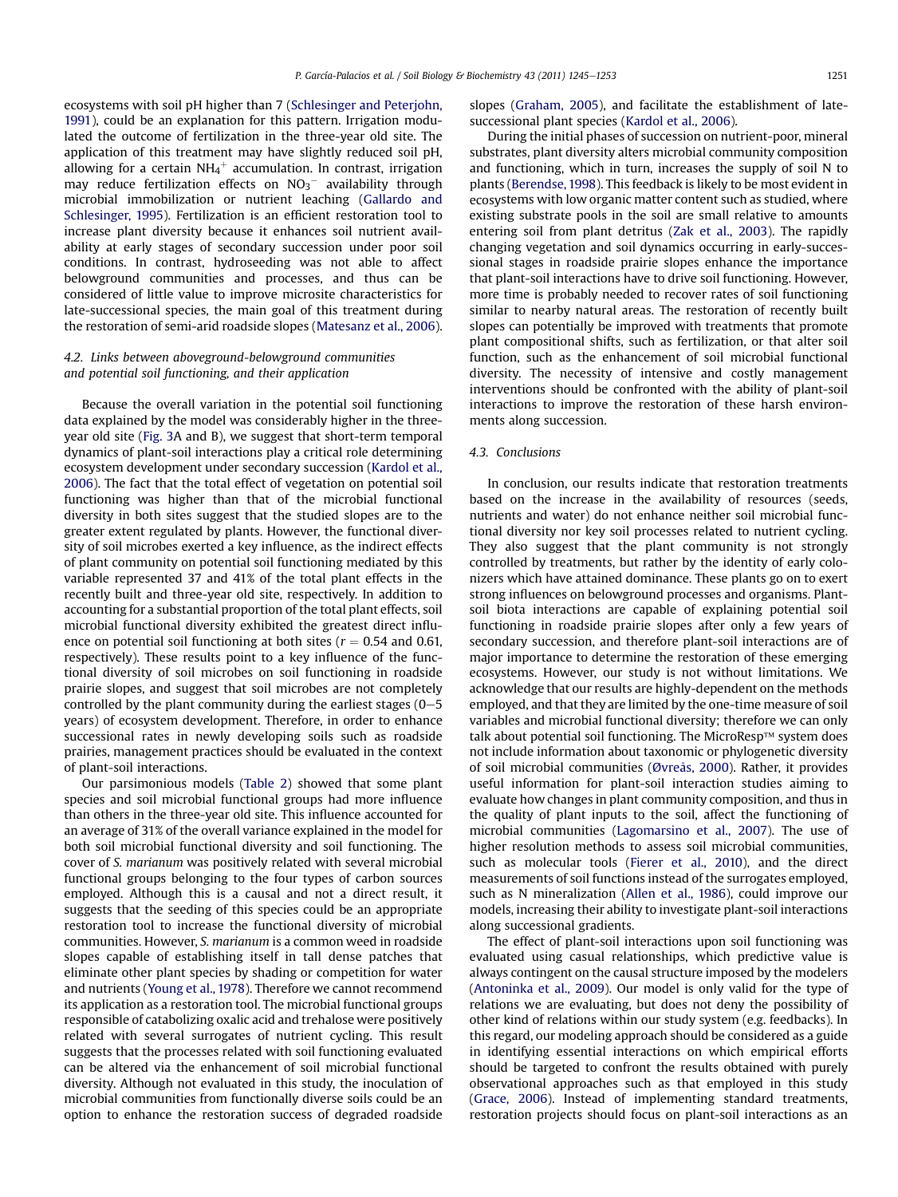ecosystems with soil pH higher than 7 [\(Schlesinger and Peterjohn,](#page-8-0) [1991\)](#page-8-0), could be an explanation for this pattern. Irrigation modulated the outcome of fertilization in the three-year old site. The application of this treatment may have slightly reduced soil pH, allowing for a certain NH $_4^+$  accumulation. In contrast, irrigation may reduce fertilization effects on  $\mathrm{NO_3^{-}}$  availability through microbial immobilization or nutrient leaching [\(Gallardo and](#page-7-0) [Schlesinger, 1995](#page-7-0)). Fertilization is an efficient restoration tool to increase plant diversity because it enhances soil nutrient availability at early stages of secondary succession under poor soil conditions. In contrast, hydroseeding was not able to affect belowground communities and processes, and thus can be considered of little value to improve microsite characteristics for late-successional species, the main goal of this treatment during the restoration of semi-arid roadside slopes ([Matesanz et al., 2006\)](#page-7-0).

## 4.2. Links between aboveground-belowground communities and potential soil functioning, and their application

Because the overall variation in the potential soil functioning data explained by the model was considerably higher in the threeyear old site ([Fig. 3](#page-5-0)A and B), we suggest that short-term temporal dynamics of plant-soil interactions play a critical role determining ecosystem development under secondary succession ([Kardol et al.,](#page-7-0) [2006\)](#page-7-0). The fact that the total effect of vegetation on potential soil functioning was higher than that of the microbial functional diversity in both sites suggest that the studied slopes are to the greater extent regulated by plants. However, the functional diversity of soil microbes exerted a key influence, as the indirect effects of plant community on potential soil functioning mediated by this variable represented 37 and 41% of the total plant effects in the recently built and three-year old site, respectively. In addition to accounting for a substantial proportion of the total plant effects, soil microbial functional diversity exhibited the greatest direct influence on potential soil functioning at both sites ( $r = 0.54$  and 0.61, respectively). These results point to a key influence of the functional diversity of soil microbes on soil functioning in roadside prairie slopes, and suggest that soil microbes are not completely controlled by the plant community during the earliest stages  $(0-5)$ years) of ecosystem development. Therefore, in order to enhance successional rates in newly developing soils such as roadside prairies, management practices should be evaluated in the context of plant-soil interactions.

Our parsimonious models [\(Table 2\)](#page-5-0) showed that some plant species and soil microbial functional groups had more influence than others in the three-year old site. This influence accounted for an average of 31% of the overall variance explained in the model for both soil microbial functional diversity and soil functioning. The cover of S. marianum was positively related with several microbial functional groups belonging to the four types of carbon sources employed. Although this is a causal and not a direct result, it suggests that the seeding of this species could be an appropriate restoration tool to increase the functional diversity of microbial communities. However, S. marianum is a common weed in roadside slopes capable of establishing itself in tall dense patches that eliminate other plant species by shading or competition for water and nutrients [\(Young et al., 1978](#page-8-0)). Therefore we cannot recommend its application as a restoration tool. The microbial functional groups responsible of catabolizing oxalic acid and trehalose were positively related with several surrogates of nutrient cycling. This result suggests that the processes related with soil functioning evaluated can be altered via the enhancement of soil microbial functional diversity. Although not evaluated in this study, the inoculation of microbial communities from functionally diverse soils could be an option to enhance the restoration success of degraded roadside

slopes [\(Graham, 2005](#page-7-0)), and facilitate the establishment of latesuccessional plant species [\(Kardol et al., 2006\)](#page-7-0).

During the initial phases of succession on nutrient-poor, mineral substrates, plant diversity alters microbial community composition and functioning, which in turn, increases the supply of soil N to plants [\(Berendse, 1998](#page-7-0)). This feedback is likely to be most evident in ecosystems with low organic matter content such as studied, where existing substrate pools in the soil are small relative to amounts entering soil from plant detritus ([Zak et al., 2003](#page-8-0)). The rapidly changing vegetation and soil dynamics occurring in early-successional stages in roadside prairie slopes enhance the importance that plant-soil interactions have to drive soil functioning. However, more time is probably needed to recover rates of soil functioning similar to nearby natural areas. The restoration of recently built slopes can potentially be improved with treatments that promote plant compositional shifts, such as fertilization, or that alter soil function, such as the enhancement of soil microbial functional diversity. The necessity of intensive and costly management interventions should be confronted with the ability of plant-soil interactions to improve the restoration of these harsh environments along succession.

## 4.3. Conclusions

In conclusion, our results indicate that restoration treatments based on the increase in the availability of resources (seeds, nutrients and water) do not enhance neither soil microbial functional diversity nor key soil processes related to nutrient cycling. They also suggest that the plant community is not strongly controlled by treatments, but rather by the identity of early colonizers which have attained dominance. These plants go on to exert strong influences on belowground processes and organisms. Plantsoil biota interactions are capable of explaining potential soil functioning in roadside prairie slopes after only a few years of secondary succession, and therefore plant-soil interactions are of major importance to determine the restoration of these emerging ecosystems. However, our study is not without limitations. We acknowledge that our results are highly-dependent on the methods employed, and that they are limited by the one-time measure of soil variables and microbial functional diversity; therefore we can only talk about potential soil functioning. The MicroResp $TM$  system does not include information about taxonomic or phylogenetic diversity of soil microbial communities ([Øvreås, 2000](#page-7-0)). Rather, it provides useful information for plant-soil interaction studies aiming to evaluate how changes in plant community composition, and thus in the quality of plant inputs to the soil, affect the functioning of microbial communities [\(Lagomarsino et al., 2007\)](#page-7-0). The use of higher resolution methods to assess soil microbial communities, such as molecular tools [\(Fierer et al., 2010\)](#page-7-0), and the direct measurements of soil functions instead of the surrogates employed, such as N mineralization [\(Allen et al., 1986\)](#page-7-0), could improve our models, increasing their ability to investigate plant-soil interactions along successional gradients.

The effect of plant-soil interactions upon soil functioning was evaluated using casual relationships, which predictive value is always contingent on the causal structure imposed by the modelers ([Antoninka et al., 2009\)](#page-7-0). Our model is only valid for the type of relations we are evaluating, but does not deny the possibility of other kind of relations within our study system (e.g. feedbacks). In this regard, our modeling approach should be considered as a guide in identifying essential interactions on which empirical efforts should be targeted to confront the results obtained with purely observational approaches such as that employed in this study ([Grace, 2006](#page-7-0)). Instead of implementing standard treatments, restoration projects should focus on plant-soil interactions as an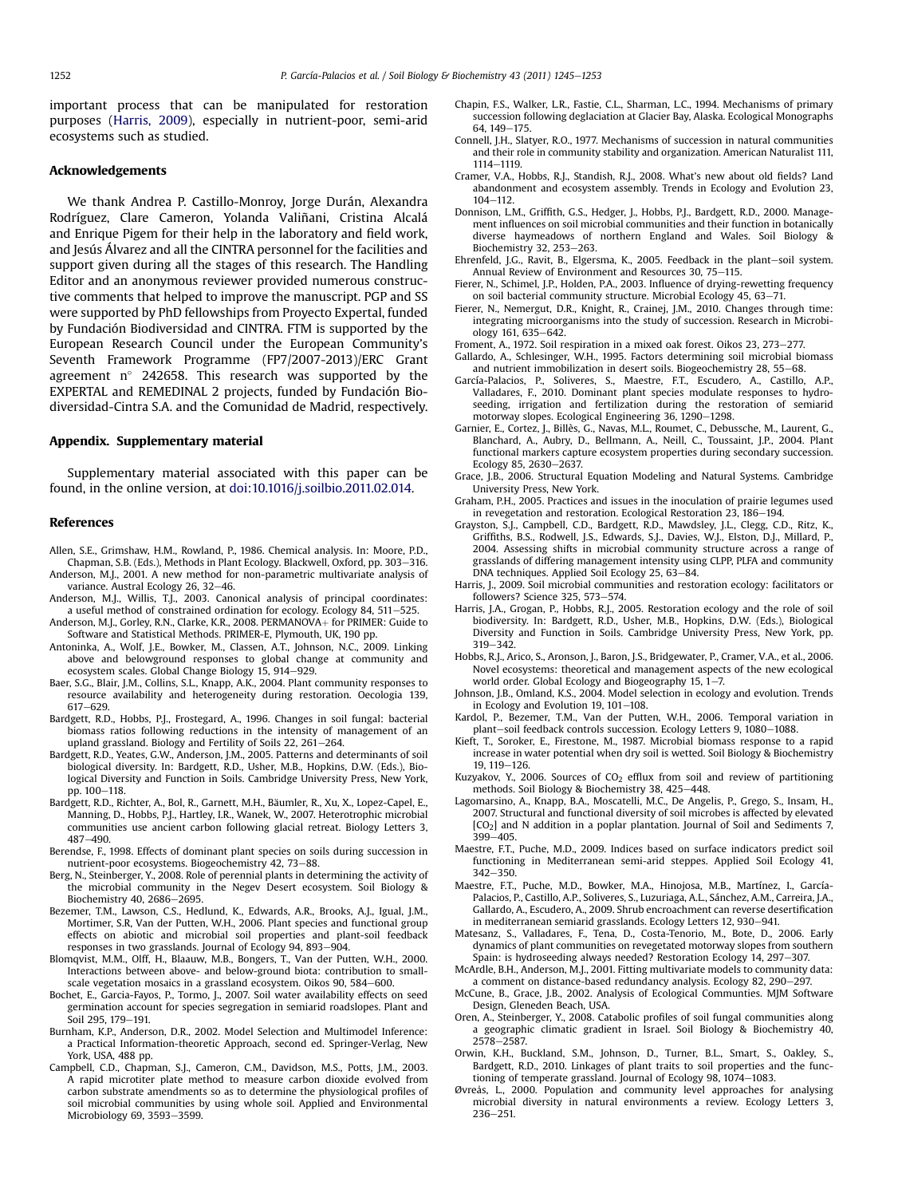<span id="page-7-0"></span>important process that can be manipulated for restoration purposes (Harris, 2009), especially in nutrient-poor, semi-arid ecosystems such as studied.

## Acknowledgements

We thank Andrea P. Castillo-Monroy, Jorge Durán, Alexandra Rodríguez, Clare Cameron, Yolanda Valiñani, Cristina Alcalá and Enrique Pigem for their help in the laboratory and field work, and Jesús Álvarez and all the CINTRA personnel for the facilities and support given during all the stages of this research. The Handling Editor and an anonymous reviewer provided numerous constructive comments that helped to improve the manuscript. PGP and SS were supported by PhD fellowships from Proyecto Expertal, funded by Fundación Biodiversidad and CINTRA. FTM is supported by the European Research Council under the European Community's Seventh Framework Programme (FP7/2007-2013)/ERC Grant agreement  $\,$ n $^{\circ}$  242658. This research was supported by the EXPERTAL and REMEDINAL 2 projects, funded by Fundación Biodiversidad-Cintra S.A. and the Comunidad de Madrid, respectively.

#### Appendix. Supplementary material

Supplementary material associated with this paper can be found, in the online version, at [doi:10.1016/j.soilbio.2011.02.014.](http://dx.doi.org/10.1016/j.soilbio.2011.02.014)

#### References

- Allen, S.E., Grimshaw, H.M., Rowland, P., 1986. Chemical analysis. In: Moore, P.D., Chapman, S.B. (Eds.), Methods in Plant Ecology. Blackwell, Oxford, pp. 303-316. Anderson, M.J., 2001. A new method for non-parametric multivariate analysis of
- variance. Austral Ecology 26, 32-46. Anderson, M.J., Willis, T.J., 2003. Canonical analysis of principal coordinates:
- a useful method of constrained ordination for ecology. Ecology 84, 511-525. Anderson, M.J., Gorley, R.N., Clarke, K.R., 2008. PERMANOVA+ for PRIMER: Guide to
- Software and Statistical Methods. PRIMER-E, Plymouth, UK, 190 pp. Antoninka, A., Wolf, J.E., Bowker, M., Classen, A.T., Johnson, N.C., 2009. Linking
- above and belowground responses to global change at community and ecosystem scales. Global Change Biology 15, 914-929.
- Baer, S.G., Blair, J.M., Collins, S.L., Knapp, A.K., 2004. Plant community responses to resource availability and heterogeneity during restoration. Oecologia 139, 617-629.
- Bardgett, R.D., Hobbs, P.J., Frostegard, A., 1996. Changes in soil fungal: bacterial biomass ratios following reductions in the intensity of management of an upland grassland. Biology and Fertility of Soils 22, 261-264.
- Bardgett, R.D., Yeates, G.W., Anderson, J.M., 2005. Patterns and determinants of soil biological diversity. In: Bardgett, R.D., Usher, M.B., Hopkins, D.W. (Eds.), Biological Diversity and Function in Soils. Cambridge University Press, New York, pp.  $100 - 118$ .
- Bardgett, R.D., Richter, A., Bol, R., Garnett, M.H., Bäumler, R., Xu, X., Lopez-Capel, E., Manning, D., Hobbs, P.J., Hartley, I.R., Wanek, W., 2007. Heterotrophic microbial communities use ancient carbon following glacial retreat. Biology Letters 3, 487-490.
- Berendse, F., 1998. Effects of dominant plant species on soils during succession in nutrient-poor ecosystems. Biogeochemistry 42, 73-88.
- Berg, N., Steinberger, Y., 2008. Role of perennial plants in determining the activity of the microbial community in the Negev Desert ecosystem. Soil Biology & Biochemistry 40, 2686-2695.
- Bezemer, T.M., Lawson, C.S., Hedlund, K., Edwards, A.R., Brooks, A.J., Igual, J.M., Mortimer, S.R, Van der Putten, W.H., 2006. Plant species and functional group effects on abiotic and microbial soil properties and plant-soil feedback responses in two grasslands. Journal of Ecology 94, 893-904.
- Blomqvist, M.M., Olff, H., Blaauw, M.B., Bongers, T., Van der Putten, W.H., 2000. Interactions between above- and below-ground biota: contribution to smallscale vegetation mosaics in a grassland ecosystem. Oikos 90, 584-600.
- Bochet, E., Garcia-Fayos, P., Tormo, J., 2007. Soil water availability effects on seed germination account for species segregation in semiarid roadslopes. Plant and Soil 295, 179-191.
- Burnham, K.P., Anderson, D.R., 2002. Model Selection and Multimodel Inference: a Practical Information-theoretic Approach, second ed. Springer-Verlag, New York, USA, 488 pp.
- Campbell, C.D., Chapman, S.J., Cameron, C.M., Davidson, M.S., Potts, J.M., 2003. A rapid microtiter plate method to measure carbon dioxide evolved from carbon substrate amendments so as to determine the physiological profiles of soil microbial communities by using whole soil. Applied and Environmental Microbiology 69, 3593-3599.
- Chapin, F.S., Walker, L.R., Fastie, C.L., Sharman, L.C., 1994. Mechanisms of primary succession following deglaciation at Glacier Bay, Alaska. Ecological Monographs 64, 149-175.
- Connell, J.H., Slatyer, R.O., 1977. Mechanisms of succession in natural communities and their role in community stability and organization. American Naturalist 111, 1114-1119.
- Cramer, V.A., Hobbs, R.J., Standish, R.J., 2008. What's new about old fields? Land abandonment and ecosystem assembly. Trends in Ecology and Evolution 23,  $104 - 112$
- Donnison, L.M., Griffith, G.S., Hedger, J., Hobbs, P.J., Bardgett, R.D., 2000. Management influences on soil microbial communities and their function in botanically diverse haymeadows of northern England and Wales. Soil Biology & Biochemistry 32, 253-263.
- Ehrenfeld, J.G., Ravit, B., Elgersma, K., 2005. Feedback in the plant-soil system. Annual Review of Environment and Resources 30, 75-115.
- Fierer, N., Schimel, J.P., Holden, P.A., 2003. Influence of drying-rewetting frequency on soil bacterial community structure. Microbial Ecology 45,  $63-71$ .
- Fierer, N., Nemergut, D.R., Knight, R., Crainej, J.M., 2010. Changes through time: integrating microorganisms into the study of succession. Research in Microbiology 161, 635-642.
- Froment, A., 1972. Soil respiration in a mixed oak forest. Oikos 23, 273-277.
- Gallardo, A., Schlesinger, W.H., 1995. Factors determining soil microbial biomass and nutrient immobilization in desert soils. Biogeochemistry 28, 55-68.
- García-Palacios, P., Soliveres, S., Maestre, F.T., Escudero, A., Castillo, A.P., Valladares, F., 2010. Dominant plant species modulate responses to hydroseeding, irrigation and fertilization during the restoration of semiarid motorway slopes. Ecological Engineering 36, 1290-1298.
- Garnier, E., Cortez, J., Billès, G., Navas, M.L., Roumet, C., Debussche, M., Laurent, G., Blanchard, A., Aubry, D., Bellmann, A., Neill, C., Toussaint, J.P., 2004. Plant functional markers capture ecosystem properties during secondary succession. Ecology 85, 2630-2637.
- Grace, J.B., 2006. Structural Equation Modeling and Natural Systems. Cambridge University Press, New York.
- Graham, P.H., 2005. Practices and issues in the inoculation of prairie legumes used in revegetation and restoration. Ecological Restoration 23, 186-194.
- Grayston, S.J., Campbell, C.D., Bardgett, R.D., Mawdsley, J.L., Clegg, C.D., Ritz, K., Griffiths, B.S., Rodwell, J.S., Edwards, S.J., Davies, W.J., Elston, D.J., Millard, P., 2004. Assessing shifts in microbial community structure across a range of grasslands of differing management intensity using CLPP, PLFA and community DNA techniques. Applied Soil Ecology 25, 63-84.
- Harris, J., 2009. Soil microbial communities and restoration ecology: facilitators or followers? Science 325, 573-574.
- Harris, J.A., Grogan, P., Hobbs, R.J., 2005. Restoration ecology and the role of soil biodiversity. In: Bardgett, R.D., Usher, M.B., Hopkins, D.W. (Eds.), Biological Diversity and Function in Soils. Cambridge University Press, New York, pp.  $319 - 342$
- Hobbs, R.J., Arico, S., Aronson, J., Baron, J.S., Bridgewater, P., Cramer, V.A., et al., 2006. Novel ecosystems: theoretical and management aspects of the new ecological world order. Global Ecology and Biogeography 15,  $1-7$ .
- Johnson, J.B., Omland, K.S., 2004. Model selection in ecology and evolution. Trends in Ecology and Evolution 19,  $101-108$ .
- Kardol, P., Bezemer, T.M., Van der Putten, W.H., 2006. Temporal variation in plant-soil feedback controls succession. Ecology Letters 9, 1080-1088.
- Kieft, T., Soroker, E., Firestone, M., 1987. Microbial biomass response to a rapid increase in water potential when dry soil is wetted. Soil Biology & Biochemistry 19, 119-126.
- Kuzyakov, Y., 2006. Sources of  $CO<sub>2</sub>$  efflux from soil and review of partitioning methods. Soil Biology & Biochemistry 38, 425-448.
- Lagomarsino, A., Knapp, B.A., Moscatelli, M.C., De Angelis, P., Grego, S., Insam, H., 2007. Structural and functional diversity of soil microbes is affected by elevated [CO2] and N addition in a poplar plantation. Journal of Soil and Sediments 7,  $399 - 405.$
- Maestre, F.T., Puche, M.D., 2009. Indices based on surface indicators predict soil functioning in Mediterranean semi-arid steppes. Applied Soil Ecology 41,  $342 - 350.$
- Maestre, F.T., Puche, M.D., Bowker, M.A., Hinojosa, M.B., Martínez, I., García-Palacios, P., Castillo, A.P., Soliveres, S., Luzuriaga, A.L., Sánchez, A.M., Carreira, J.A., Gallardo, A., Escudero, A., 2009. Shrub encroachment can reverse desertification in mediterranean semiarid grasslands. Ecology Letters 12, 930-941.
- Matesanz, S., Valladares, F., Tena, D., Costa-Tenorio, M., Bote, D., 2006. Early dynamics of plant communities on revegetated motorway slopes from southern Spain: is hydroseeding always needed? Restoration Ecology 14, 297-307.
- McArdle, B.H., Anderson, M.J., 2001. Fitting multivariate models to community data: a comment on distance-based redundancy analysis. Ecology 82, 290-297.
- McCune, B., Grace, J.B., 2002. Analysis of Ecological Communties. MJM Software Design, Gleneden Beach, USA.
- Oren, A., Steinberger, Y., 2008. Catabolic profiles of soil fungal communities along a geographic climatic gradient in Israel. Soil Biology & Biochemistry 40, 2578-2587.
- Orwin, K.H., Buckland, S.M., Johnson, D., Turner, B.L., Smart, S., Oakley, S., Bardgett, R.D., 2010. Linkages of plant traits to soil properties and the functioning of temperate grassland. Journal of Ecology 98, 1074-1083.
- Øvreås, L., 2000. Population and community level approaches for analysing microbial diversity in natural environments a review. Ecology Letters 3,  $236 - 251.$